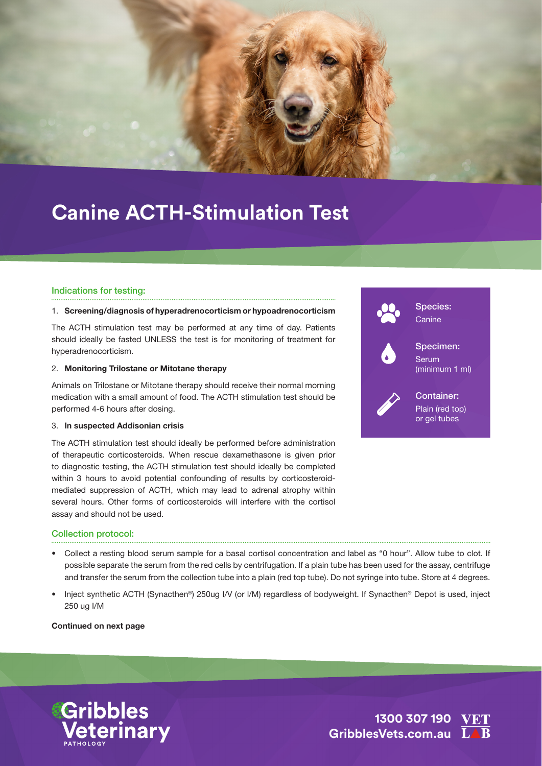

## **Canine ACTH-Stimulation Test**

#### Indications for testing:

#### 1. Screening/diagnosis of hyperadrenocorticism or hypoadrenocorticism

The ACTH stimulation test may be performed at any time of day. Patients should ideally be fasted UNLESS the test is for monitoring of treatment for hyperadrenocorticism.

#### 2. Monitoring Trilostane or Mitotane therapy

Animals on Trilostane or Mitotane therapy should receive their normal morning medication with a small amount of food. The ACTH stimulation test should be performed 4-6 hours after dosing.

#### 3. In suspected Addisonian crisis

The ACTH stimulation test should ideally be performed before administration of therapeutic corticosteroids. When rescue dexamethasone is given prior to diagnostic testing, the ACTH stimulation test should ideally be completed within 3 hours to avoid potential confounding of results by corticosteroidmediated suppression of ACTH, which may lead to adrenal atrophy within several hours. Other forms of corticosteroids will interfere with the cortisol assay and should not be used.



#### Collection protocol:

- Collect a resting blood serum sample for a basal cortisol concentration and label as "0 hour". Allow tube to clot. If possible separate the serum from the red cells by centrifugation. If a plain tube has been used for the assay, centrifuge and transfer the serum from the collection tube into a plain (red top tube). Do not syringe into tube. Store at 4 degrees.
- Inject synthetic ACTH (Synacthen®) 250ug I/V (or I/M) regardless of bodyweight. If Synacthen® Depot is used, inject 250 ug I/M

Continued on next page